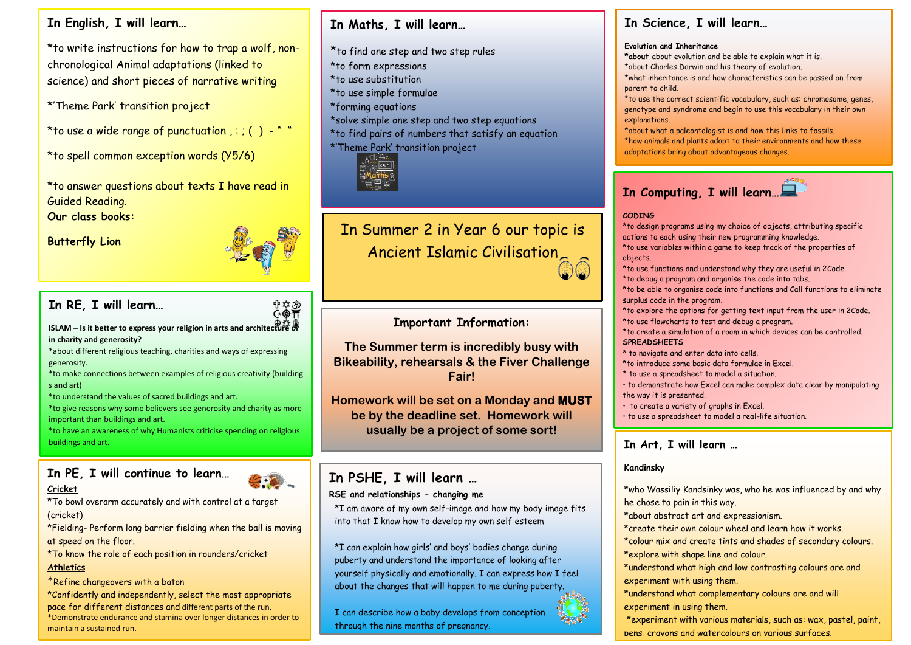### **In English, I will learn…**

\*to write instructions for how to trap a wolf, nonchronological Animal adaptations (linked to science) and short pieces of narrative writing

\*'Theme Park' transition project

**Year** \*to use a wide range of punctuation , : ; ( ) - " "

**6** \*to spell common exception words (Y5/6)

**Summ** \*to answer questions about texts I have read in Guided Reading.

**er Our class books:**

**Term Butterfly Lion**

**2**



<sup>⇔</sup>卒<br>⊙�π

## **In RE, I will learn…**

**ISLAM – Is it better to express your religion in arts and architecture or in charity and generosity?**

\*about different religious teaching, charities and ways of expressing generosity.

\*to make connections between examples of religious creativity (building s and art)

\*to understand the values of sacred buildings and art.

\*to give reasons why some believers see generosity and charity as more important than buildings and art.

\*to have an awareness of why Humanists criticise spending on religious buildings and art.

# **In PE, I will continue to learn…**

#### **Cricket**

\*To bowl overarm accurately and with control at a target (cricket)

\*Fielding- Perform long barrier fielding when the ball is moving at speed on the floor.

\*To know the role of each position in rounders/cricket

#### **Athletics**

\*Refine changeovers with a baton

\*Confidently and independently, select the most appropriate pace for different distances and different parts of the run. \*Demonstrate endurance and stamina over longer distances in order to maintain a sustained run.

 $\mathcal{P}(\mathcal{P}(\mathcal{P}))$  the technique for the standard for the standard for the standard for the standard for the standard for the standard for the standard for the standard for the standard for the standard for the standard

## **In Maths, I will learn…**

\*to find one step and two step rules \*to form expressions \*to use substitution \*to use simple formulae \*forming equations \*solve simple one step and two step equations \*to find pairs of numbers that satisfy an equation \*'Theme Park' transition project



In Summer 2 in Year 6 our topic is Ancient Islamic Civilisation

### **Important Information:**

**The Summer term is incredibly busy with Bikeability, rehearsals & the Fiver Challenge Fair!**

**Homework will be set on a Monday and MUST be by the deadline set. Homework will usually be a project of some sort!**

## **In PSHE, I will learn …**

#### **RSE and relationships - changing me**

\*I am aware of my own self-image and how my body image fits into that I know how to develop my own self esteem

\*I can explain how girls' and boys' bodies change during puberty and understand the importance of looking after yourself physically and emotionally. I can express how I feel about the changes that will happen to me during puberty.

I can describe how a baby develops from conception through the nine months of pregnancy.

### **In Science, I will learn…**

#### **Evolution and Inheritance**

**\*about** about evolution and be able to explain what it is. \*about Charles Darwin and his theory of evolution.

\*what inheritance is and how characteristics can be passed on from parent to child.

\*to use the correct scientific vocabulary, such as: chromosome, genes, genotype and syndrome and begin to use this vocabulary in their own explanations.

\*about what a paleontologist is and how this links to fossils. \*how animals and plants adapt to their environments and how these adaptations bring about advantageous changes.

# **In Computing, I will learn…**

#### **CODING**

\*to design programs using my choice of objects, attributing specific actions to each using their new programming knowledge. \*to use variables within a game to keep track of the properties of objects.

- \*to use functions and understand why they are useful in 2Code.
- \*to debug a program and organise the code into tabs. \*to be able to organise code into functions and Call functions to eliminate
- surplus code in the program. \*to explore the options for getting text input from the user in 2Code.
- \*to use flowcharts to test and debug a program. \*to create a simulation of a room in which devices can be controlled. **SPREADSHEETS**
- \* to navigate and enter data into cells.
- \*to introduce some basic data formulae in Excel.
- \* to use a spreadsheet to model a situation.
- to demonstrate how Excel can make complex data clear by manipulating the way it is presented.
- to create a variety of graphs in Excel.
- to use a spreadsheet to model a real-life situation.

• To apply spreadsheet skills to solving problems.

#### **In Art, I will learn …**

#### **Kandinsky**

\*who Wassiliy Kandsinky was, who he was influenced by and why he chose to pain in this way.

- \*about abstract art and expressionism.
- \*create their own colour wheel and learn how it works.

\*colour mix and create tints and shades of secondary colours. \*explore with shape line and colour.

\*understand what high and low contrasting colours are and experiment with using them.

\*understand what complementary colours are and will experiment in using them.

\*experiment with various materials, such as: wax, pastel, paint, pens, crayons and watercolours on various surfaces.